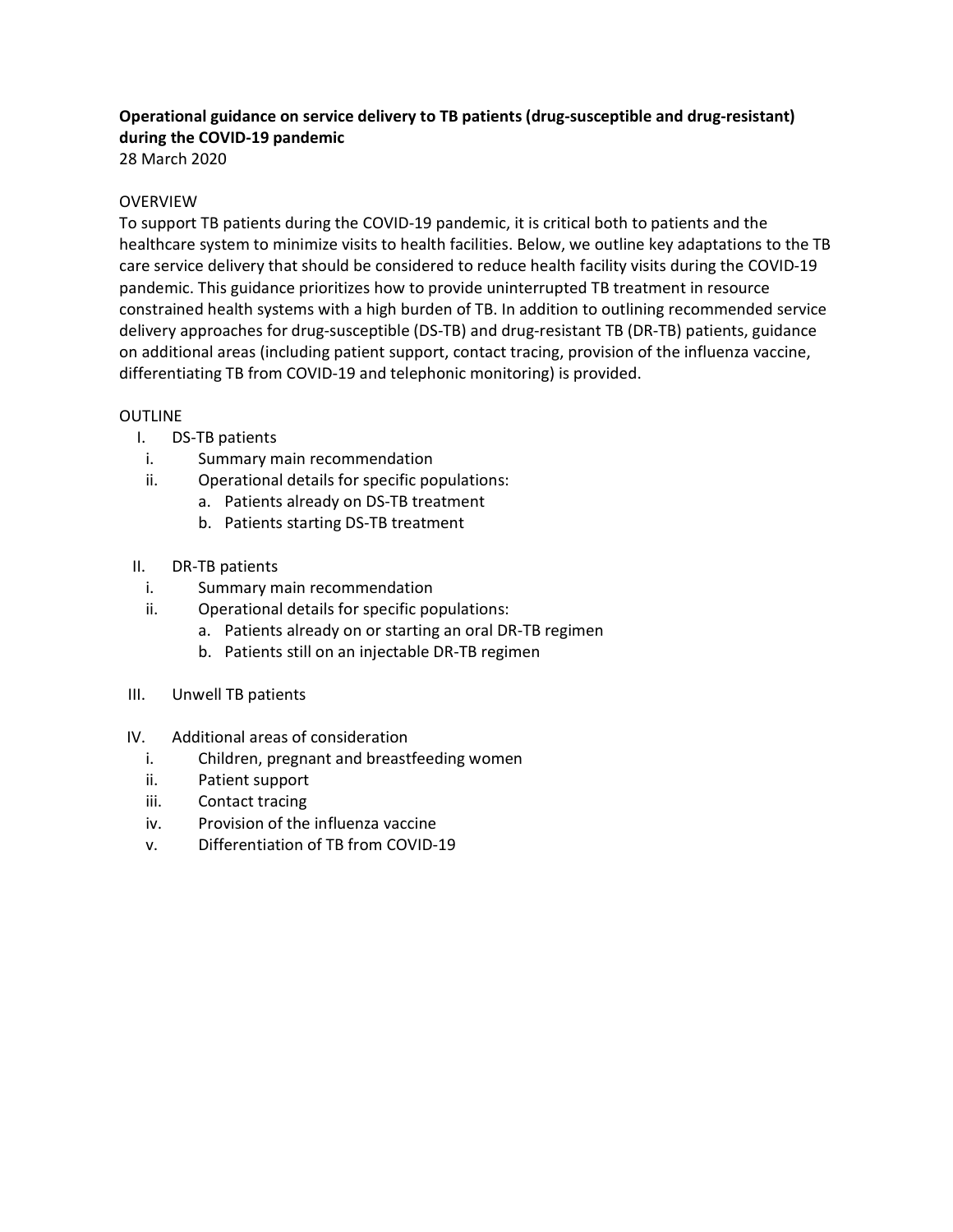# Operational guidance on service delivery to TB patients (drug-susceptible and drug-resistant) during the COVID-19 pandemic

28 March 2020

### OVERVIEW

To support TB patients during the COVID-19 pandemic, it is critical both to patients and the healthcare system to minimize visits to health facilities. Below, we outline key adaptations to the TB care service delivery that should be considered to reduce health facility visits during the COVID-19 pandemic. This guidance prioritizes how to provide uninterrupted TB treatment in resource constrained health systems with a high burden of TB. In addition to outlining recommended service delivery approaches for drug-susceptible (DS-TB) and drug-resistant TB (DR-TB) patients, guidance on additional areas (including patient support, contact tracing, provision of the influenza vaccine, differentiating TB from COVID-19 and telephonic monitoring) is provided.

### OUTLINE

- I. DS-TB patients
- i. Summary main recommendation
- ii. Operational details for specific populations:
	- a. Patients already on DS-TB treatment
		- b. Patients starting DS-TB treatment
- II. DR-TB patients
	- i. Summary main recommendation
	- ii. Operational details for specific populations:
		- a. Patients already on or starting an oral DR-TB regimen
		- b. Patients still on an injectable DR-TB regimen
- III. Unwell TB patients
- IV. Additional areas of consideration
	- i. Children, pregnant and breastfeeding women
	- ii. Patient support
	- iii. Contact tracing
	- iv. Provision of the influenza vaccine
	- v. Differentiation of TB from COVID-19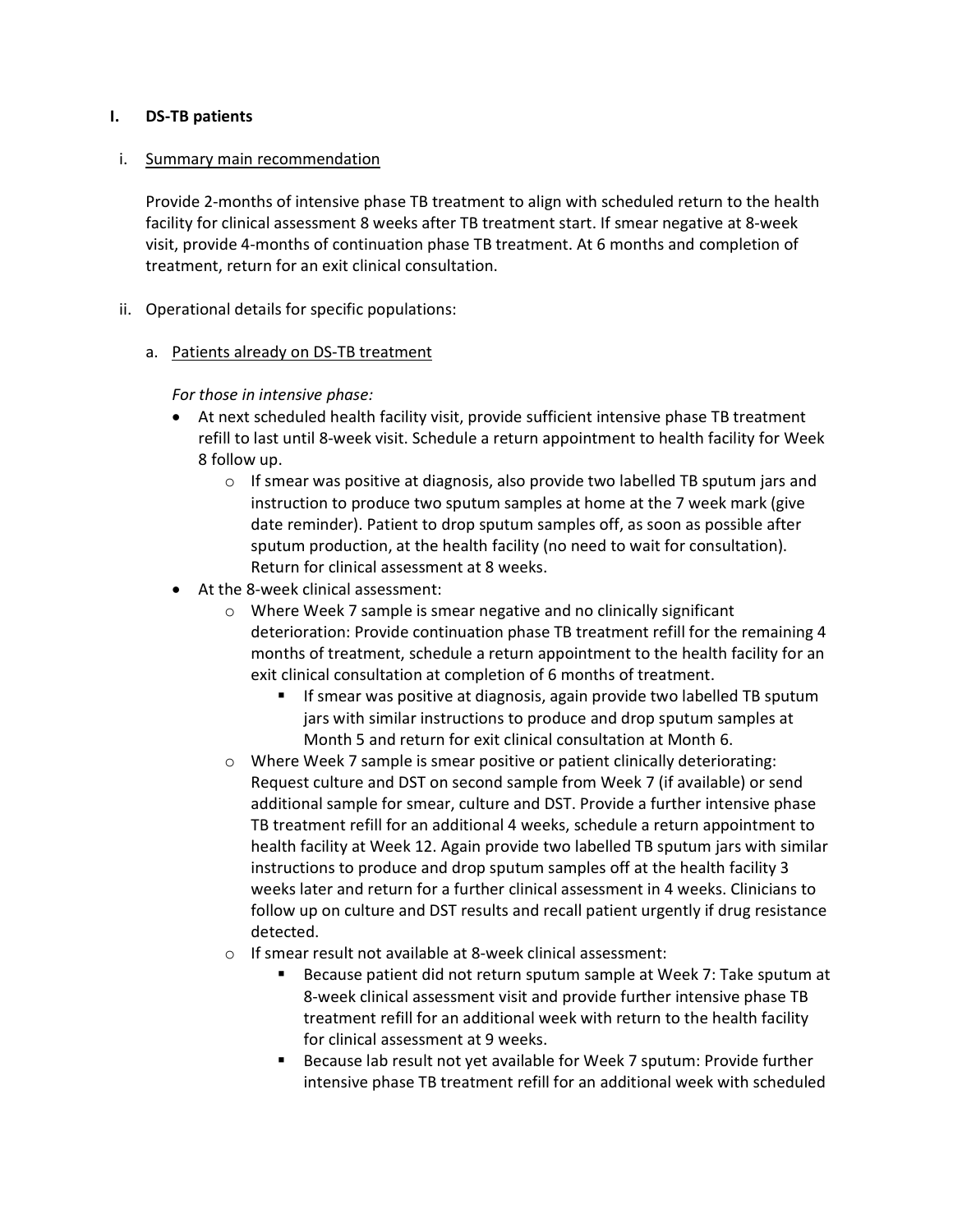#### I. DS-TB patients

### i. Summary main recommendation

Provide 2-months of intensive phase TB treatment to align with scheduled return to the health facility for clinical assessment 8 weeks after TB treatment start. If smear negative at 8-week visit, provide 4-months of continuation phase TB treatment. At 6 months and completion of treatment, return for an exit clinical consultation.

ii. Operational details for specific populations:

### a. Patients already on DS-TB treatment

For those in intensive phase:

- At next scheduled health facility visit, provide sufficient intensive phase TB treatment refill to last until 8-week visit. Schedule a return appointment to health facility for Week 8 follow up.
	- $\circ$  If smear was positive at diagnosis, also provide two labelled TB sputum jars and instruction to produce two sputum samples at home at the 7 week mark (give date reminder). Patient to drop sputum samples off, as soon as possible after sputum production, at the health facility (no need to wait for consultation). Return for clinical assessment at 8 weeks.
- At the 8-week clinical assessment:
	- o Where Week 7 sample is smear negative and no clinically significant deterioration: Provide continuation phase TB treatment refill for the remaining 4 months of treatment, schedule a return appointment to the health facility for an exit clinical consultation at completion of 6 months of treatment.
		- If smear was positive at diagnosis, again provide two labelled TB sputum jars with similar instructions to produce and drop sputum samples at Month 5 and return for exit clinical consultation at Month 6.
	- o Where Week 7 sample is smear positive or patient clinically deteriorating: Request culture and DST on second sample from Week 7 (if available) or send additional sample for smear, culture and DST. Provide a further intensive phase TB treatment refill for an additional 4 weeks, schedule a return appointment to health facility at Week 12. Again provide two labelled TB sputum jars with similar instructions to produce and drop sputum samples off at the health facility 3 weeks later and return for a further clinical assessment in 4 weeks. Clinicians to follow up on culture and DST results and recall patient urgently if drug resistance detected.
	- o If smear result not available at 8-week clinical assessment:
		- Because patient did not return sputum sample at Week 7: Take sputum at 8-week clinical assessment visit and provide further intensive phase TB treatment refill for an additional week with return to the health facility for clinical assessment at 9 weeks.
		- Because lab result not yet available for Week 7 sputum: Provide further intensive phase TB treatment refill for an additional week with scheduled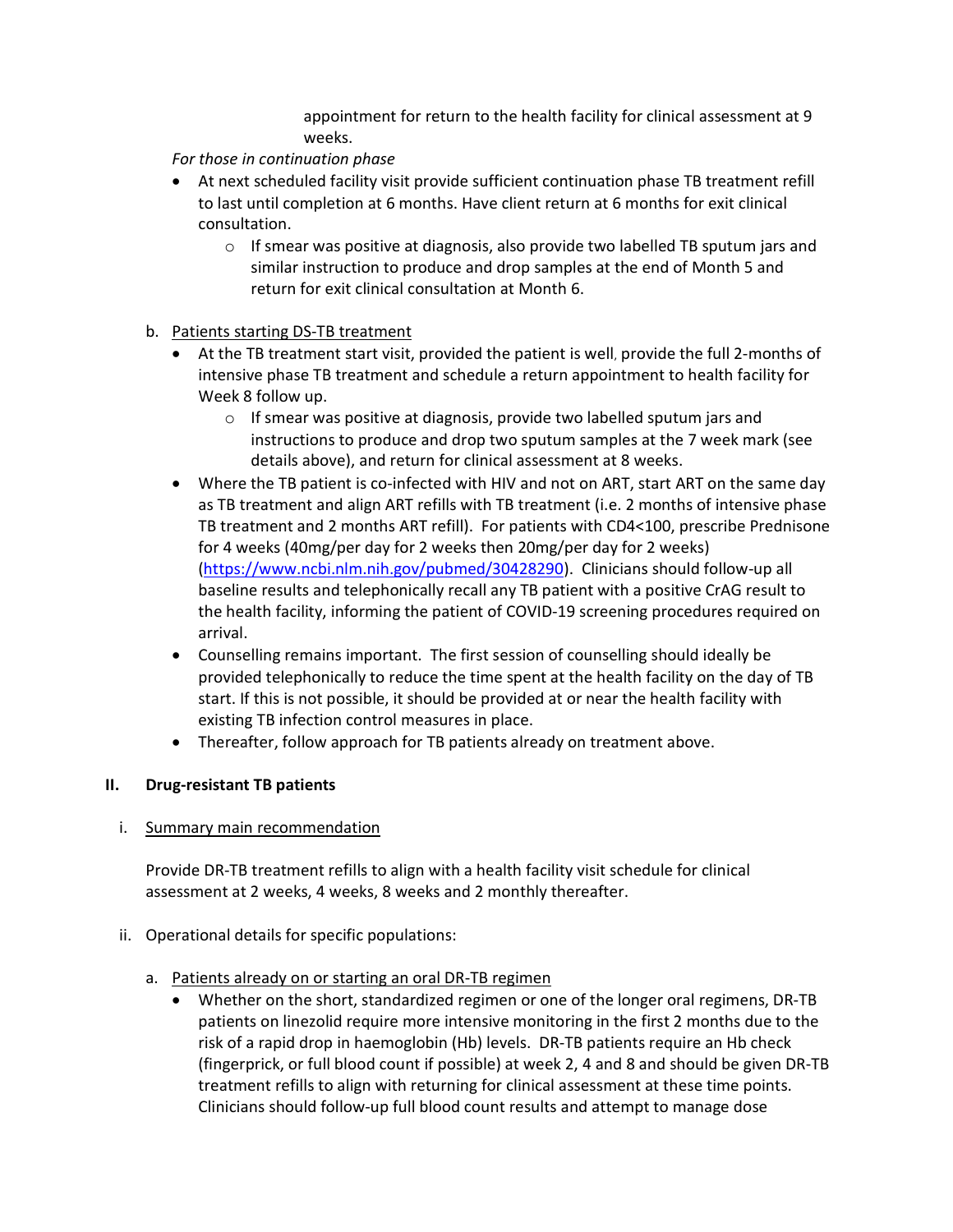appointment for return to the health facility for clinical assessment at 9 weeks.

For those in continuation phase

- At next scheduled facility visit provide sufficient continuation phase TB treatment refill to last until completion at 6 months. Have client return at 6 months for exit clinical consultation.
	- $\circ$  If smear was positive at diagnosis, also provide two labelled TB sputum jars and similar instruction to produce and drop samples at the end of Month 5 and return for exit clinical consultation at Month 6.
- b. Patients starting DS-TB treatment
	- At the TB treatment start visit, provided the patient is well, provide the full 2-months of intensive phase TB treatment and schedule a return appointment to health facility for Week 8 follow up.
		- o If smear was positive at diagnosis, provide two labelled sputum jars and instructions to produce and drop two sputum samples at the 7 week mark (see details above), and return for clinical assessment at 8 weeks.
	- Where the TB patient is co-infected with HIV and not on ART, start ART on the same day as TB treatment and align ART refills with TB treatment (i.e. 2 months of intensive phase TB treatment and 2 months ART refill). For patients with CD4<100, prescribe Prednisone for 4 weeks (40mg/per day for 2 weeks then 20mg/per day for 2 weeks) (https://www.ncbi.nlm.nih.gov/pubmed/30428290). Clinicians should follow-up all baseline results and telephonically recall any TB patient with a positive CrAG result to the health facility, informing the patient of COVID-19 screening procedures required on arrival.
	- Counselling remains important. The first session of counselling should ideally be provided telephonically to reduce the time spent at the health facility on the day of TB start. If this is not possible, it should be provided at or near the health facility with existing TB infection control measures in place.
	- Thereafter, follow approach for TB patients already on treatment above.

## II. Drug-resistant TB patients

## i. Summary main recommendation

Provide DR-TB treatment refills to align with a health facility visit schedule for clinical assessment at 2 weeks, 4 weeks, 8 weeks and 2 monthly thereafter.

ii. Operational details for specific populations:

## a. Patients already on or starting an oral DR-TB regimen

 Whether on the short, standardized regimen or one of the longer oral regimens, DR-TB patients on linezolid require more intensive monitoring in the first 2 months due to the risk of a rapid drop in haemoglobin (Hb) levels. DR-TB patients require an Hb check (fingerprick, or full blood count if possible) at week 2, 4 and 8 and should be given DR-TB treatment refills to align with returning for clinical assessment at these time points. Clinicians should follow-up full blood count results and attempt to manage dose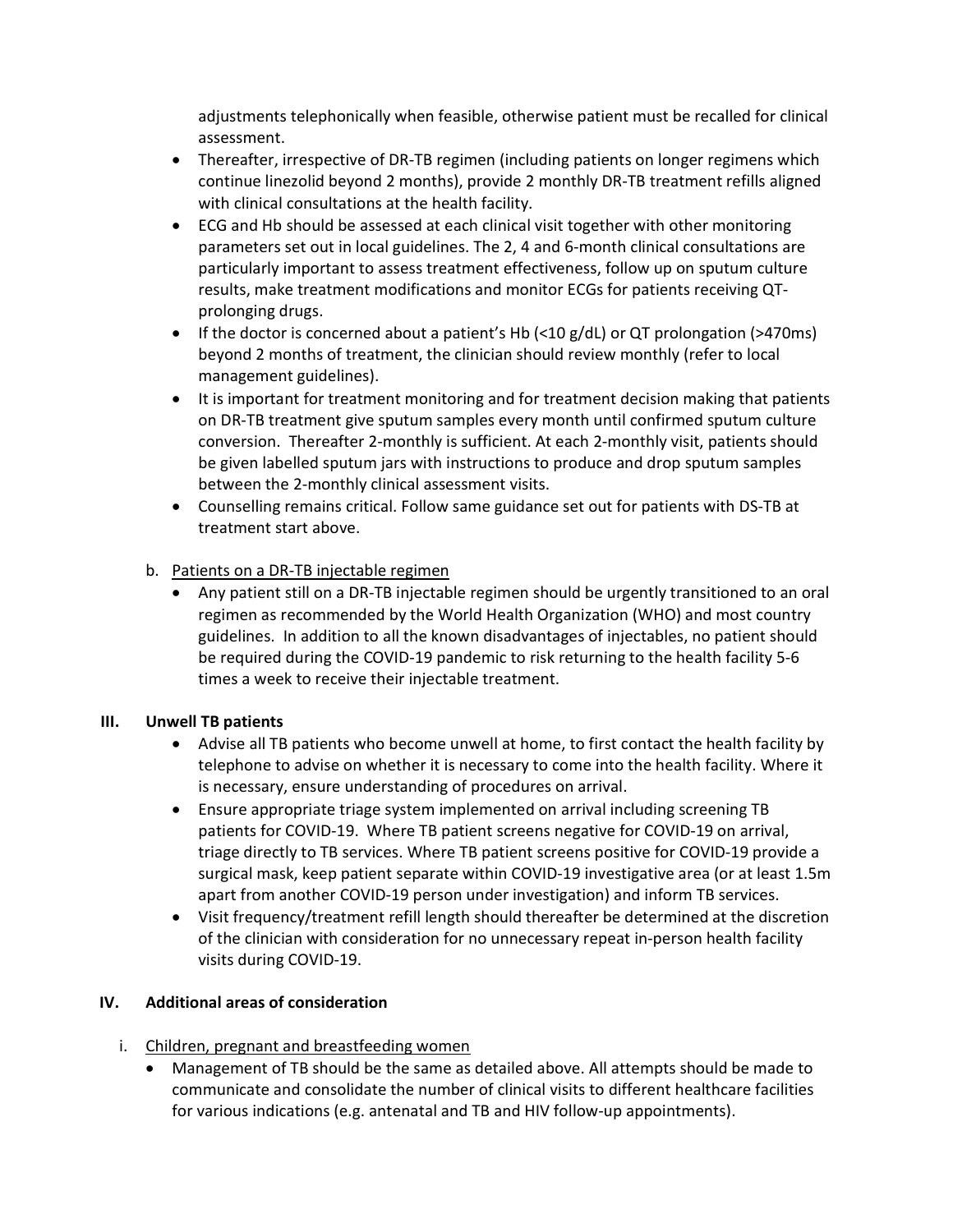adjustments telephonically when feasible, otherwise patient must be recalled for clinical assessment.

- Thereafter, irrespective of DR-TB regimen (including patients on longer regimens which continue linezolid beyond 2 months), provide 2 monthly DR-TB treatment refills aligned with clinical consultations at the health facility.
- ECG and Hb should be assessed at each clinical visit together with other monitoring parameters set out in local guidelines. The 2, 4 and 6-month clinical consultations are particularly important to assess treatment effectiveness, follow up on sputum culture results, make treatment modifications and monitor ECGs for patients receiving QTprolonging drugs.
- If the doctor is concerned about a patient's Hb (<10 g/dL) or QT prolongation (>470ms) beyond 2 months of treatment, the clinician should review monthly (refer to local management guidelines).
- It is important for treatment monitoring and for treatment decision making that patients on DR-TB treatment give sputum samples every month until confirmed sputum culture conversion. Thereafter 2-monthly is sufficient. At each 2-monthly visit, patients should be given labelled sputum jars with instructions to produce and drop sputum samples between the 2-monthly clinical assessment visits.
- Counselling remains critical. Follow same guidance set out for patients with DS-TB at treatment start above.

## b. Patients on a DR-TB injectable regimen

 Any patient still on a DR-TB injectable regimen should be urgently transitioned to an oral regimen as recommended by the World Health Organization (WHO) and most country guidelines. In addition to all the known disadvantages of injectables, no patient should be required during the COVID-19 pandemic to risk returning to the health facility 5-6 times a week to receive their injectable treatment.

### III. Unwell TB patients

- Advise all TB patients who become unwell at home, to first contact the health facility by telephone to advise on whether it is necessary to come into the health facility. Where it is necessary, ensure understanding of procedures on arrival.
- Ensure appropriate triage system implemented on arrival including screening TB patients for COVID-19. Where TB patient screens negative for COVID-19 on arrival, triage directly to TB services. Where TB patient screens positive for COVID-19 provide a surgical mask, keep patient separate within COVID-19 investigative area (or at least 1.5m apart from another COVID-19 person under investigation) and inform TB services.
- Visit frequency/treatment refill length should thereafter be determined at the discretion of the clinician with consideration for no unnecessary repeat in-person health facility visits during COVID-19.

### IV. Additional areas of consideration

- i. Children, pregnant and breastfeeding women
	- Management of TB should be the same as detailed above. All attempts should be made to communicate and consolidate the number of clinical visits to different healthcare facilities for various indications (e.g. antenatal and TB and HIV follow-up appointments).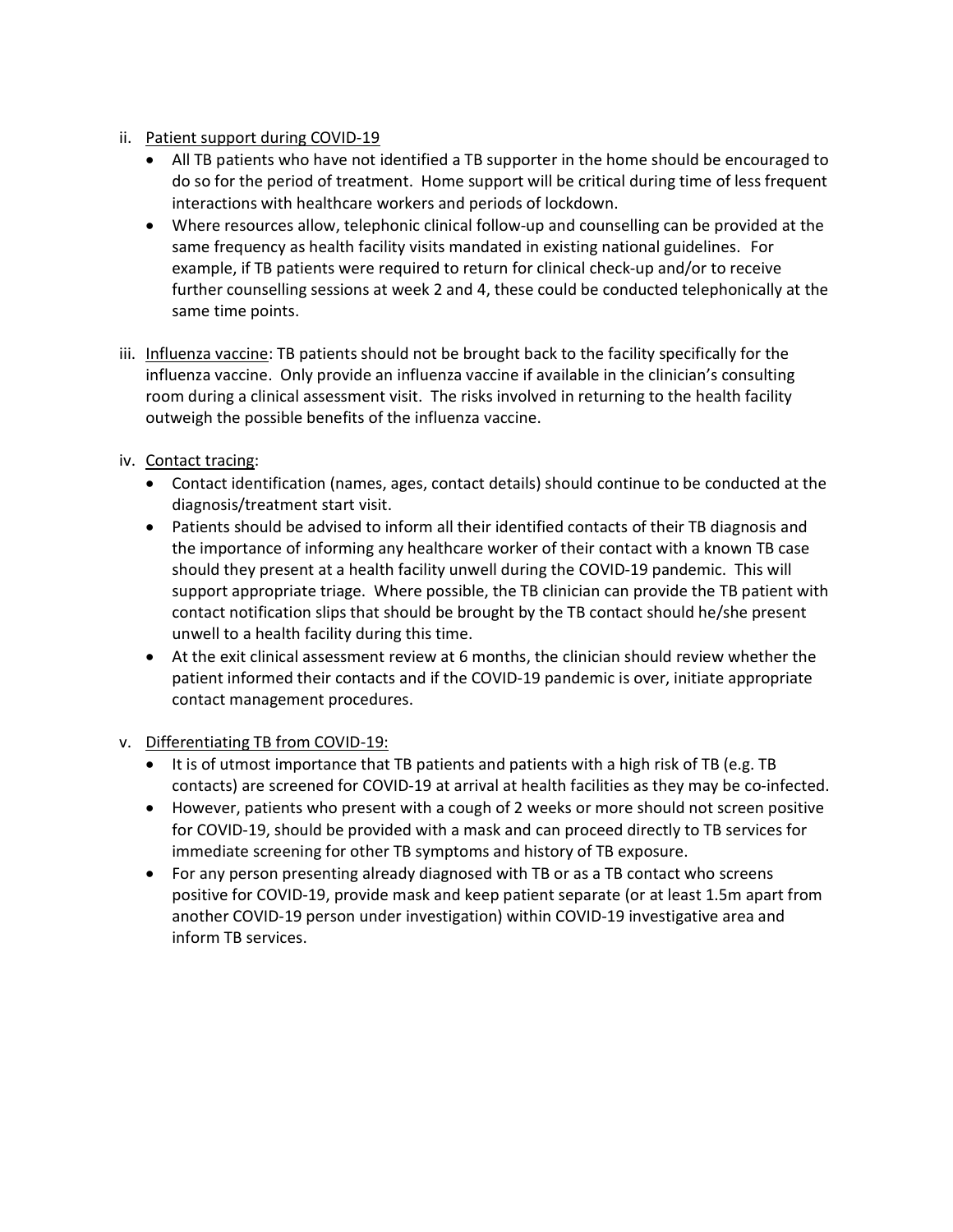- ii. Patient support during COVID-19
	- All TB patients who have not identified a TB supporter in the home should be encouraged to do so for the period of treatment. Home support will be critical during time of less frequent interactions with healthcare workers and periods of lockdown.
	- Where resources allow, telephonic clinical follow-up and counselling can be provided at the same frequency as health facility visits mandated in existing national guidelines. For example, if TB patients were required to return for clinical check-up and/or to receive further counselling sessions at week 2 and 4, these could be conducted telephonically at the same time points.
- iii. Influenza vaccine: TB patients should not be brought back to the facility specifically for the influenza vaccine. Only provide an influenza vaccine if available in the clinician's consulting room during a clinical assessment visit. The risks involved in returning to the health facility outweigh the possible benefits of the influenza vaccine.
- iv. Contact tracing:
	- Contact identification (names, ages, contact details) should continue to be conducted at the diagnosis/treatment start visit.
	- Patients should be advised to inform all their identified contacts of their TB diagnosis and the importance of informing any healthcare worker of their contact with a known TB case should they present at a health facility unwell during the COVID-19 pandemic. This will support appropriate triage. Where possible, the TB clinician can provide the TB patient with contact notification slips that should be brought by the TB contact should he/she present unwell to a health facility during this time.
	- At the exit clinical assessment review at 6 months, the clinician should review whether the patient informed their contacts and if the COVID-19 pandemic is over, initiate appropriate contact management procedures.
- v. Differentiating TB from COVID-19:
	- It is of utmost importance that TB patients and patients with a high risk of TB (e.g. TB contacts) are screened for COVID-19 at arrival at health facilities as they may be co-infected.
	- However, patients who present with a cough of 2 weeks or more should not screen positive for COVID-19, should be provided with a mask and can proceed directly to TB services for immediate screening for other TB symptoms and history of TB exposure.
	- For any person presenting already diagnosed with TB or as a TB contact who screens positive for COVID-19, provide mask and keep patient separate (or at least 1.5m apart from another COVID-19 person under investigation) within COVID-19 investigative area and inform TB services.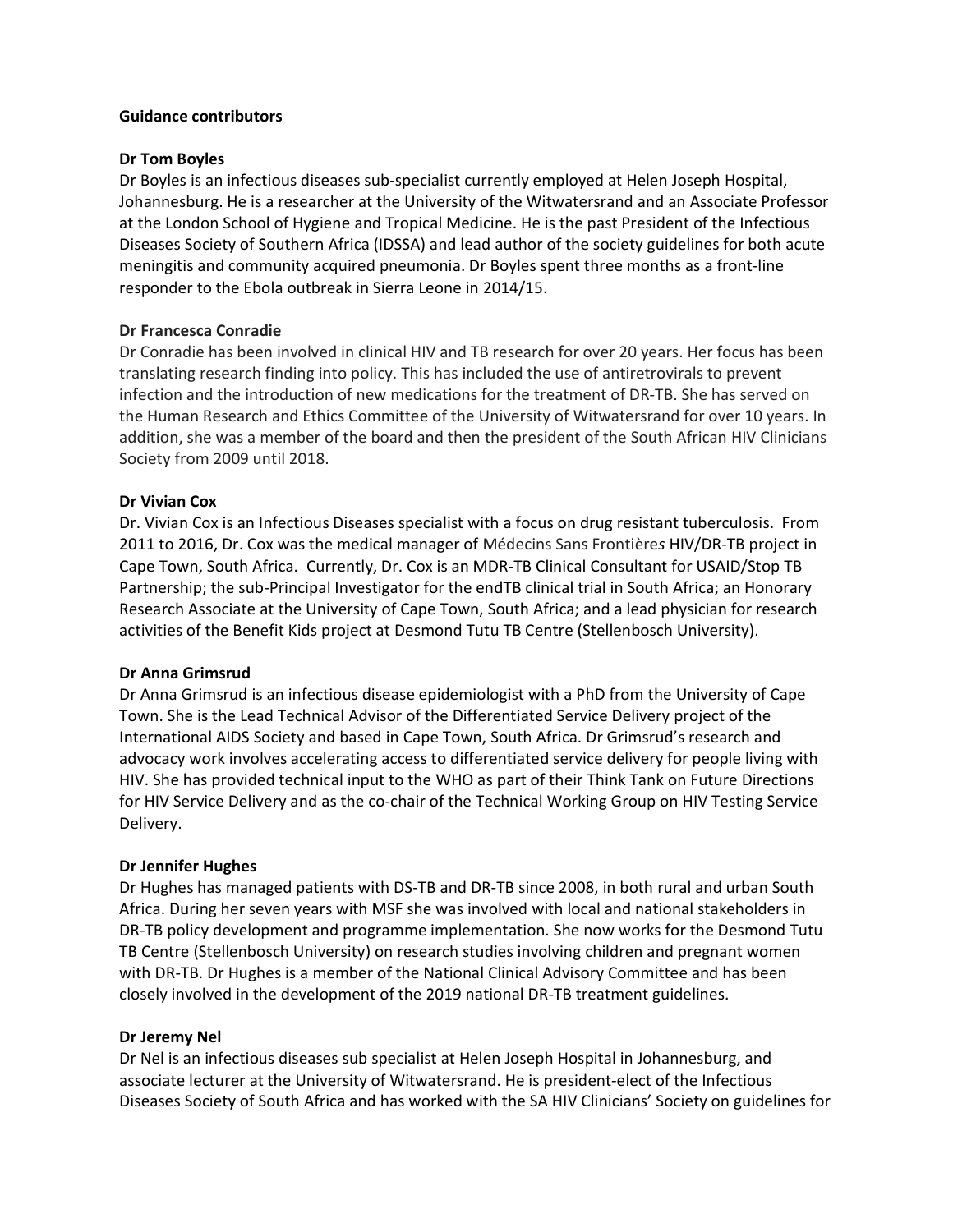#### Guidance contributors

#### Dr Tom Boyles

Dr Boyles is an infectious diseases sub-specialist currently employed at Helen Joseph Hospital, Johannesburg. He is a researcher at the University of the Witwatersrand and an Associate Professor at the London School of Hygiene and Tropical Medicine. He is the past President of the Infectious Diseases Society of Southern Africa (IDSSA) and lead author of the society guidelines for both acute meningitis and community acquired pneumonia. Dr Boyles spent three months as a front-line responder to the Ebola outbreak in Sierra Leone in 2014/15.

#### Dr Francesca Conradie

Dr Conradie has been involved in clinical HIV and TB research for over 20 years. Her focus has been translating research finding into policy. This has included the use of antiretrovirals to prevent infection and the introduction of new medications for the treatment of DR-TB. She has served on the Human Research and Ethics Committee of the University of Witwatersrand for over 10 years. In addition, she was a member of the board and then the president of the South African HIV Clinicians Society from 2009 until 2018.

#### Dr Vivian Cox

Dr. Vivian Cox is an Infectious Diseases specialist with a focus on drug resistant tuberculosis. From 2011 to 2016, Dr. Cox was the medical manager of Médecins Sans Frontières HIV/DR-TB project in Cape Town, South Africa. Currently, Dr. Cox is an MDR-TB Clinical Consultant for USAID/Stop TB Partnership; the sub-Principal Investigator for the endTB clinical trial in South Africa; an Honorary Research Associate at the University of Cape Town, South Africa; and a lead physician for research activities of the Benefit Kids project at Desmond Tutu TB Centre (Stellenbosch University).

#### Dr Anna Grimsrud

Dr Anna Grimsrud is an infectious disease epidemiologist with a PhD from the University of Cape Town. She is the Lead Technical Advisor of the Differentiated Service Delivery project of the International AIDS Society and based in Cape Town, South Africa. Dr Grimsrud's research and advocacy work involves accelerating access to differentiated service delivery for people living with HIV. She has provided technical input to the WHO as part of their Think Tank on Future Directions for HIV Service Delivery and as the co-chair of the Technical Working Group on HIV Testing Service Delivery.

#### Dr Jennifer Hughes

Dr Hughes has managed patients with DS-TB and DR-TB since 2008, in both rural and urban South Africa. During her seven years with MSF she was involved with local and national stakeholders in DR-TB policy development and programme implementation. She now works for the Desmond Tutu TB Centre (Stellenbosch University) on research studies involving children and pregnant women with DR-TB. Dr Hughes is a member of the National Clinical Advisory Committee and has been closely involved in the development of the 2019 national DR-TB treatment guidelines.

#### Dr Jeremy Nel

Dr Nel is an infectious diseases sub specialist at Helen Joseph Hospital in Johannesburg, and associate lecturer at the University of Witwatersrand. He is president-elect of the Infectious Diseases Society of South Africa and has worked with the SA HIV Clinicians' Society on guidelines for